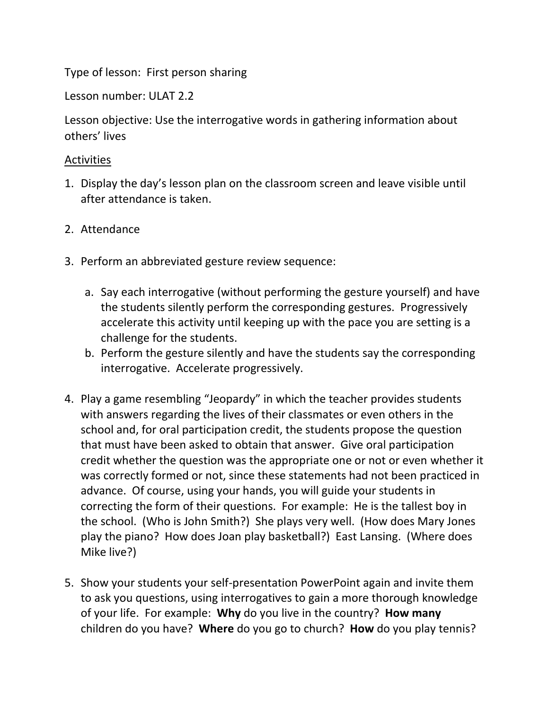Type of lesson: First person sharing

Lesson number: ULAT 2.2

Lesson objective: Use the interrogative words in gathering information about others' lives

## Activities

- 1. Display the day's lesson plan on the classroom screen and leave visible until after attendance is taken.
- 2. Attendance
- 3. Perform an abbreviated gesture review sequence:
	- a. Say each interrogative (without performing the gesture yourself) and have the students silently perform the corresponding gestures. Progressively accelerate this activity until keeping up with the pace you are setting is a challenge for the students.
	- b. Perform the gesture silently and have the students say the corresponding interrogative. Accelerate progressively.
- 4. Play a game resembling "Jeopardy" in which the teacher provides students with answers regarding the lives of their classmates or even others in the school and, for oral participation credit, the students propose the question that must have been asked to obtain that answer. Give oral participation credit whether the question was the appropriate one or not or even whether it was correctly formed or not, since these statements had not been practiced in advance. Of course, using your hands, you will guide your students in correcting the form of their questions. For example: He is the tallest boy in the school. (Who is John Smith?) She plays very well. (How does Mary Jones play the piano? How does Joan play basketball?) East Lansing. (Where does Mike live?)
- 5. Show your students your self-presentation PowerPoint again and invite them to ask you questions, using interrogatives to gain a more thorough knowledge of your life. For example: **Why** do you live in the country? **How many** children do you have? **Where** do you go to church? **How** do you play tennis?